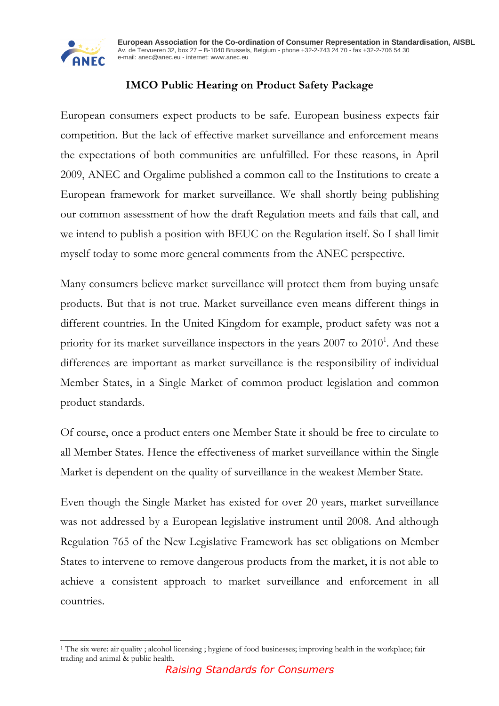

**European Association for the Co-ordination of Consumer Representation in Standardisation, AISBL** Av. de Tervueren 32, box 27 – B-1040 Brussels, Belgium - phone +32-2-743 24 70 - fax +32-2-706 54 30 e-mail: anec@anec.eu - internet: www.anec.eu

## IMCO Public Hearing on Product Safety Package

European consumers expect products to be safe. European business expects fair competition. But the lack of effective market surveillance and enforcement means the expectations of both communities are unfulfilled. For these reasons, in April 2009, ANEC and Orgalime published a common call to the Institutions to create a European framework for market surveillance. We shall shortly being publishing our common assessment of how the draft Regulation meets and fails that call, and we intend to publish a position with BEUC on the Regulation itself. So I shall limit myself today to some more general comments from the ANEC perspective.

Many consumers believe market surveillance will protect them from buying unsafe products. But that is not true. Market surveillance even means different things in different countries. In the United Kingdom for example, product safety was not a priority for its market surveillance inspectors in the years  $2007$  to  $2010<sup>1</sup>$ . And these differences are important as market surveillance is the responsibility of individual Member States, in a Single Market of common product legislation and common product standards.

Of course, once a product enters one Member State it should be free to circulate to all Member States. Hence the effectiveness of market surveillance within the Single Market is dependent on the quality of surveillance in the weakest Member State.

Even though the Single Market has existed for over 20 years, market surveillance was not addressed by a European legislative instrument until 2008. And although Regulation 765 of the New Legislative Framework has set obligations on Member States to intervene to remove dangerous products from the market, it is not able to achieve a consistent approach to market surveillance and enforcement in all countries.

 $\overline{a}$ 1 The six were: air quality ; alcohol licensing ; hygiene of food businesses; improving health in the workplace; fair trading and animal & public health.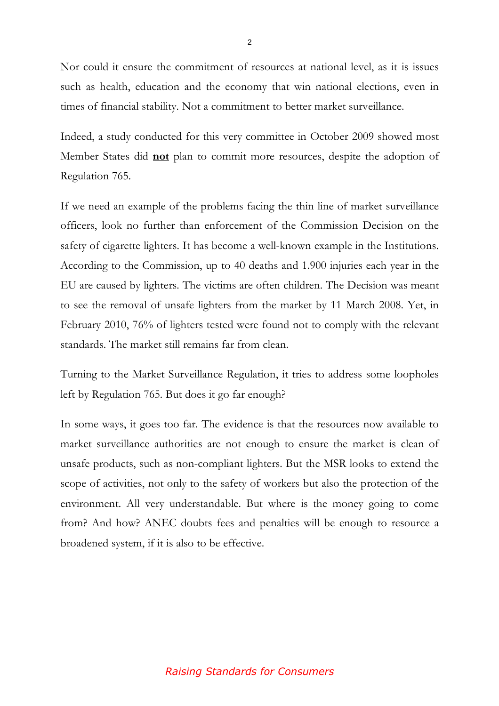Nor could it ensure the commitment of resources at national level, as it is issues such as health, education and the economy that win national elections, even in times of financial stability. Not a commitment to better market surveillance.

Indeed, a study conducted for this very committee in October 2009 showed most Member States did **not** plan to commit more resources, despite the adoption of Regulation 765.

If we need an example of the problems facing the thin line of market surveillance officers, look no further than enforcement of the Commission Decision on the safety of cigarette lighters. It has become a well-known example in the Institutions. According to the Commission, up to 40 deaths and 1.900 injuries each year in the EU are caused by lighters. The victims are often children. The Decision was meant to see the removal of unsafe lighters from the market by 11 March 2008. Yet, in February 2010, 76% of lighters tested were found not to comply with the relevant standards. The market still remains far from clean.

Turning to the Market Surveillance Regulation, it tries to address some loopholes left by Regulation 765. But does it go far enough?

In some ways, it goes too far. The evidence is that the resources now available to market surveillance authorities are not enough to ensure the market is clean of unsafe products, such as non-compliant lighters. But the MSR looks to extend the scope of activities, not only to the safety of workers but also the protection of the environment. All very understandable. But where is the money going to come from? And how? ANEC doubts fees and penalties will be enough to resource a broadened system, if it is also to be effective.